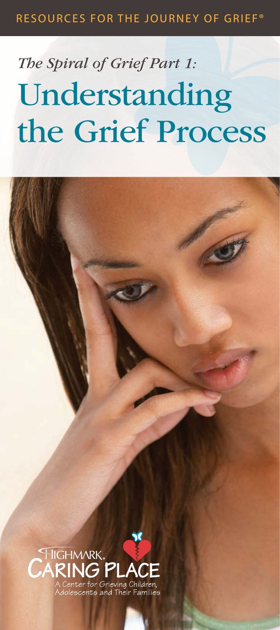#### RESOURCES FOR THE JOURNEY OF GRIEF®

## *The Spiral of Grief Part 1:*  Understanding the Grief Process

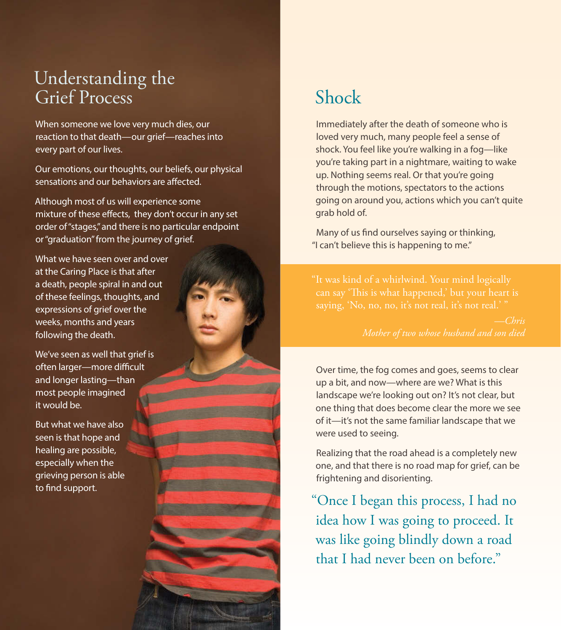#### Understanding the Grief Process

When someone we love very much dies, our reaction to that death—our grief—reaches into every part of our lives.

Our emotions, our thoughts, our beliefs, our physical sensations and our behaviors are affected.

Although most of us will experience some mixture of these effects, they don't occur in any set order of "stages," and there is no particular endpoint or "graduation" from the journey of grief.

What we have seen over and over at the Caring Place is that after a death, people spiral in and out of these feelings, thoughts, and expressions of grief over the weeks, months and years following the death.

We've seen as well that grief is often larger—more difficult and longer lasting—than most people imagined it would be.

But what we have also seen is that hope and healing are possible, especially when the grieving person is able to find support.

## Shock

Immediately after the death of someone who is loved very much, many people feel a sense of shock. You feel like you're walking in a fog—like you're taking part in a nightmare, waiting to wake up. Nothing seems real. Or that you're going through the motions, spectators to the actions going on around you, actions which you can't quite grab hold of.

Many of us find ourselves saying or thinking, "I can't believe this is happening to me."

can say 'This is what happened,' but your heart is

*—Chris*

Over time, the fog comes and goes, seems to clear up a bit, and now—where are we? What is this landscape we're looking out on? It's not clear, but one thing that does become clear the more we see of it—it's not the same familiar landscape that we were used to seeing.

Realizing that the road ahead is a completely new one, and that there is no road map for grief, can be frightening and disorienting.

"Once I began this process, I had no idea how I was going to proceed. It was like going blindly down a road that I had never been on before."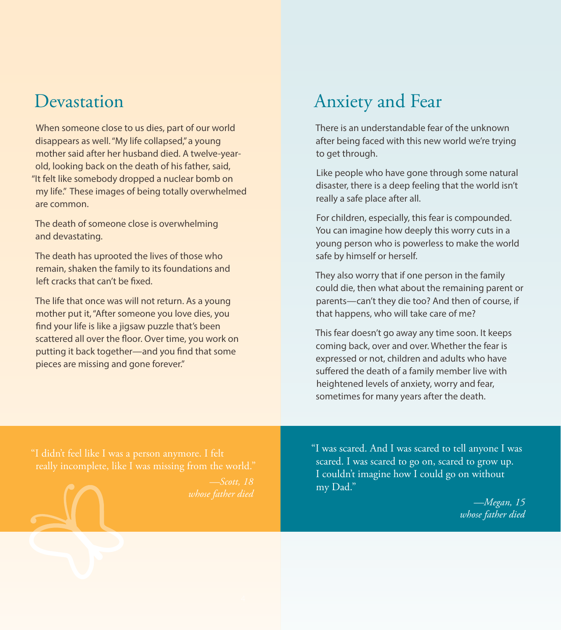#### Devastation

When someone close to us dies, part of our world disappears as well. "My life collapsed," a young mother said after her husband died. A twelve-yearold, looking back on the death of his father, said, "It felt like somebody dropped a nuclear bomb on my life." These images of being totally overwhelmed are common.

The death of someone close is overwhelming and devastating.

The death has uprooted the lives of those who remain, shaken the family to its foundations and left cracks that can't be fixed.

The life that once was will not return. As a young mother put it, "After someone you love dies, you find your life is like a jigsaw puzzle that's been scattered all over the floor. Over time, you work on putting it back together—and you find that some pieces are missing and gone forever."

### Anxiety and Fear

There is an understandable fear of the unknown after being faced with this new world we're trying to get through.

Like people who have gone through some natural disaster, there is a deep feeling that the world isn't really a safe place after all.

For children, especially, this fear is compounded. You can imagine how deeply this worry cuts in a young person who is powerless to make the world safe by himself or herself.

They also worry that if one person in the family could die, then what about the remaining parent or parents—can't they die too? And then of course, if that happens, who will take care of me?

This fear doesn't go away any time soon. It keeps coming back, over and over. Whether the fear is expressed or not, children and adults who have suffered the death of a family member live with heightened levels of anxiety, worry and fear, sometimes for many years after the death.

"I didn't feel like I was a person anymore. I felt

"I was scared. And I was scared to tell anyone I was scared. I was scared to go on, scared to grow up. I couldn't imagine how I could go on without my Dad."

> *—Megan, 15 whose father died*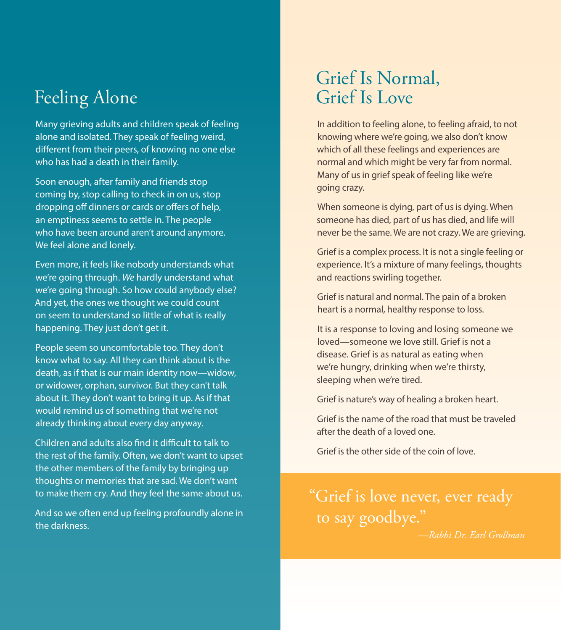### Feeling Alone

Many grieving adults and children speak of feeling alone and isolated. They speak of feeling weird, different from their peers, of knowing no one else who has had a death in their family.

Soon enough, after family and friends stop coming by, stop calling to check in on us, stop dropping off dinners or cards or offers of help, an emptiness seems to settle in. The people who have been around aren't around anymore. We feel alone and lonely.

Even more, it feels like nobody understands what we're going through. *We* hardly understand what we're going through. So how could anybody else? And yet, the ones we thought we could count on seem to understand so little of what is really happening. They just don't get it.

People seem so uncomfortable too. They don't know what to say. All they can think about is the death, as if that is our main identity now—widow, or widower, orphan, survivor. But they can't talk about it. They don't want to bring it up. As if that would remind us of something that we're not already thinking about every day anyway.

Children and adults also find it difficult to talk to the rest of the family. Often, we don't want to upset the other members of the family by bringing up thoughts or memories that are sad. We don't want to make them cry. And they feel the same about us.

And so we often end up feeling profoundly alone in the darkness.

#### Grief Is Normal, Grief Is Love

In addition to feeling alone, to feeling afraid, to not knowing where we're going, we also don't know which of all these feelings and experiences are normal and which might be very far from normal. Many of us in grief speak of feeling like we're going crazy.

When someone is dying, part of us is dying. When someone has died, part of us has died, and life will never be the same. We are not crazy. We are grieving.

Grief is a complex process. It is not a single feeling or experience. It's a mixture of many feelings, thoughts and reactions swirling together.

Grief is natural and normal. The pain of a broken heart is a normal, healthy response to loss.

It is a response to loving and losing someone we loved—someone we love still. Grief is not a disease. Grief is as natural as eating when we're hungry, drinking when we're thirsty, sleeping when we're tired.

Grief is nature's way of healing a broken heart.

Grief is the name of the road that must be traveled after the death of a loved one.

Grief is the other side of the coin of love.

"Grief is love never, ever ready to say goodbye."

*—Rabbi Dr. Earl Grollman*